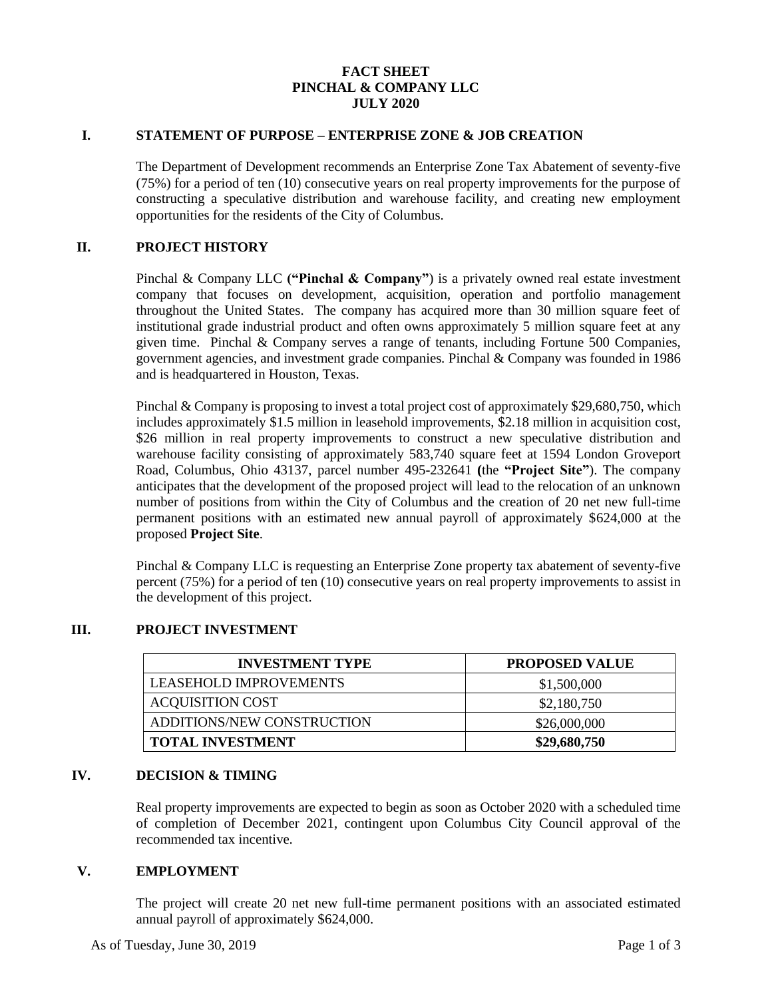# **FACT SHEET PINCHAL & COMPANY LLC JULY 2020**

## **I. STATEMENT OF PURPOSE – ENTERPRISE ZONE & JOB CREATION**

The Department of Development recommends an Enterprise Zone Tax Abatement of seventy-five (75%) for a period of ten (10) consecutive years on real property improvements for the purpose of constructing a speculative distribution and warehouse facility, and creating new employment opportunities for the residents of the City of Columbus.

#### **II. PROJECT HISTORY**

Pinchal & Company LLC **("Pinchal & Company"**) is a privately owned real estate investment company that focuses on development, acquisition, operation and portfolio management throughout the United States. The company has acquired more than 30 million square feet of institutional grade industrial product and often owns approximately 5 million square feet at any given time. Pinchal & Company serves a range of tenants, including Fortune 500 Companies, government agencies, and investment grade companies. Pinchal & Company was founded in 1986 and is headquartered in Houston, Texas.

Pinchal & Company is proposing to invest a total project cost of approximately \$29,680,750, which includes approximately \$1.5 million in leasehold improvements, \$2.18 million in acquisition cost, \$26 million in real property improvements to construct a new speculative distribution and warehouse facility consisting of approximately 583,740 square feet at 1594 London Groveport Road, Columbus, Ohio 43137, parcel number 495-232641 **(**the **"Project Site"**). The company anticipates that the development of the proposed project will lead to the relocation of an unknown number of positions from within the City of Columbus and the creation of 20 net new full-time permanent positions with an estimated new annual payroll of approximately \$624,000 at the proposed **Project Site**.

Pinchal & Company LLC is requesting an Enterprise Zone property tax abatement of seventy-five percent (75%) for a period of ten (10) consecutive years on real property improvements to assist in the development of this project.

## **III. PROJECT INVESTMENT**

| <b>INVESTMENT TYPE</b>     | <b>PROPOSED VALUE</b> |
|----------------------------|-----------------------|
| LEASEHOLD IMPROVEMENTS     | \$1,500,000           |
| <b>ACQUISITION COST</b>    | \$2,180,750           |
| ADDITIONS/NEW CONSTRUCTION | \$26,000,000          |
| <b>TOTAL INVESTMENT</b>    | \$29,680,750          |

## **IV. DECISION & TIMING**

Real property improvements are expected to begin as soon as October 2020 with a scheduled time of completion of December 2021, contingent upon Columbus City Council approval of the recommended tax incentive.

#### **V. EMPLOYMENT**

The project will create 20 net new full-time permanent positions with an associated estimated annual payroll of approximately \$624,000.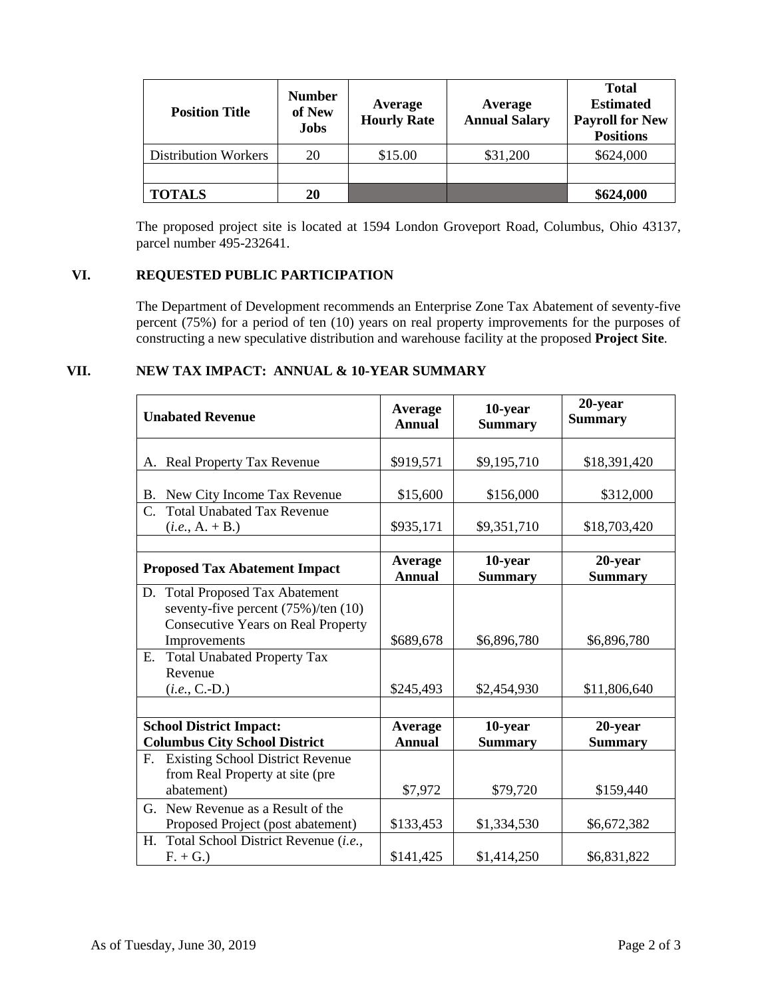| <b>Position Title</b> | <b>Number</b><br>of New<br><b>Jobs</b> | Average<br><b>Hourly Rate</b> | Average<br><b>Annual Salary</b> | <b>Total</b><br><b>Estimated</b><br><b>Payroll for New</b><br><b>Positions</b> |
|-----------------------|----------------------------------------|-------------------------------|---------------------------------|--------------------------------------------------------------------------------|
| Distribution Workers  | 20                                     | \$15.00                       | \$31,200                        | \$624,000                                                                      |
|                       |                                        |                               |                                 |                                                                                |
| <b>TOTALS</b>         | 20                                     |                               |                                 | \$624,000                                                                      |

The proposed project site is located at 1594 London Groveport Road, Columbus, Ohio 43137, parcel number 495-232641.

# **VI. REQUESTED PUBLIC PARTICIPATION**

The Department of Development recommends an Enterprise Zone Tax Abatement of seventy-five percent (75%) for a period of ten (10) years on real property improvements for the purposes of constructing a new speculative distribution and warehouse facility at the proposed **Project Site**.

# **VII. NEW TAX IMPACT: ANNUAL & 10-YEAR SUMMARY**

| <b>Unabated Revenue</b>                                                                                                             | Average<br><b>Annual</b> | 10-year<br><b>Summary</b> | 20-year<br><b>Summary</b> |
|-------------------------------------------------------------------------------------------------------------------------------------|--------------------------|---------------------------|---------------------------|
| Real Property Tax Revenue<br>А.                                                                                                     | \$919,571                | \$9,195,710               | \$18,391,420              |
| New City Income Tax Revenue<br>B.                                                                                                   | \$15,600                 | \$156,000                 | \$312,000                 |
| <b>Total Unabated Tax Revenue</b><br>$C_{\cdot}$<br>$(i.e., A. + B.)$                                                               | \$935,171                | \$9,351,710               | \$18,703,420              |
| <b>Proposed Tax Abatement Impact</b>                                                                                                | Average<br><b>Annual</b> | 10-year<br><b>Summary</b> | 20-year<br><b>Summary</b> |
| D. Total Proposed Tax Abatement<br>seventy-five percent (75%)/ten (10)<br><b>Consecutive Years on Real Property</b><br>Improvements | \$689,678                | \$6,896,780               | \$6,896,780               |
| <b>Total Unabated Property Tax</b><br>Ε.<br>Revenue<br>$(i.e., C.-D.)$                                                              | \$245,493                | \$2,454,930               | \$11,806,640              |
| <b>School District Impact:</b><br><b>Columbus City School District</b>                                                              | Average<br><b>Annual</b> | 10-year<br><b>Summary</b> | 20-year<br><b>Summary</b> |
| F. Existing School District Revenue<br>from Real Property at site (pre<br>abatement)                                                | \$7,972                  | \$79,720                  | \$159,440                 |
| G. New Revenue as a Result of the<br>Proposed Project (post abatement)                                                              | \$133,453                | \$1,334,530               | \$6,672,382               |
| H. Total School District Revenue (i.e.,<br>$F. + G.$                                                                                | \$141,425                | \$1,414,250               | \$6,831,822               |